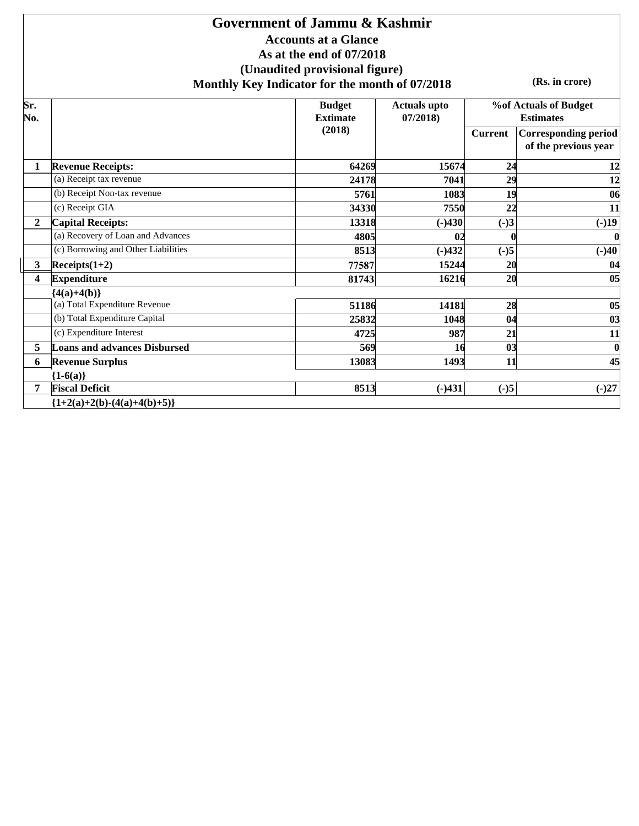### **Accounts at a Glance As at the end of 07/2018 (Unaudited provisional figure) Monthly Key Indicator for the month of 07/2018 Government of Jammu & Kashmir**

**(Rs. in crore)**

| Sr.<br>No.              |                                     | <b>Budget</b><br><b>Extimate</b> | <b>Actuals upto</b><br>07/2018 |                | %of Actuals of Budget<br><b>Estimates</b>           |
|-------------------------|-------------------------------------|----------------------------------|--------------------------------|----------------|-----------------------------------------------------|
|                         |                                     | (2018)                           |                                | <b>Current</b> | <b>Corresponding period</b><br>of the previous year |
| 1                       | <b>Revenue Receipts:</b>            | 64269                            | 15674                          | 24             | 12                                                  |
|                         | (a) Receipt tax revenue             | 24178                            | 7041                           | 29             | 12                                                  |
|                         | (b) Receipt Non-tax revenue         | 5761                             | 1083                           | 19             | 06                                                  |
|                         | (c) Receipt GIA                     | 34330                            | 7550                           | 22             | 11                                                  |
| $\overline{2}$          | <b>Capital Receipts:</b>            | 13318                            | $(-)430$                       | $(-)3$         | $(-)19$                                             |
|                         | (a) Recovery of Loan and Advances   | 4805                             | 0 <sub>2</sub>                 |                | $\boldsymbol{0}$                                    |
|                         | (c) Borrowing and Other Liabilities | 8513                             | $(-)432$                       | $(-)5$         | $(-)40$                                             |
| $\mathbf{3}$            | $\text{Receipts}(1+2)$              | 77587                            | 15244                          | 20             | 04                                                  |
| $\overline{\mathbf{4}}$ | <b>Expenditure</b>                  | 81743                            | 16216                          | 20             | 0 <sub>5</sub>                                      |
|                         | ${4(a)+4(b)}$                       |                                  |                                |                |                                                     |
|                         | (a) Total Expenditure Revenue       | 51186                            | 14181                          | 28             | 05                                                  |
|                         | (b) Total Expenditure Capital       | 25832                            | 1048                           | 04             | 03                                                  |
|                         | (c) Expenditure Interest            | 4725                             | 987                            | 21             | 11                                                  |
| 5                       | <b>Loans and advances Disbursed</b> | 569                              | 16                             | 03             | $\boldsymbol{0}$                                    |
| 6                       | <b>Revenue Surplus</b>              | 13083                            | 1493                           | 11             | 45                                                  |
|                         | ${1-6(a)}$                          |                                  |                                |                |                                                     |
| 7                       | <b>Fiscal Deficit</b>               | 8513                             | $(-)431$                       | $(-)5$         | $(-)27$                                             |
|                         | ${1+2(a)+2(b)-(4(a)+4(b)+5)}$       |                                  |                                |                |                                                     |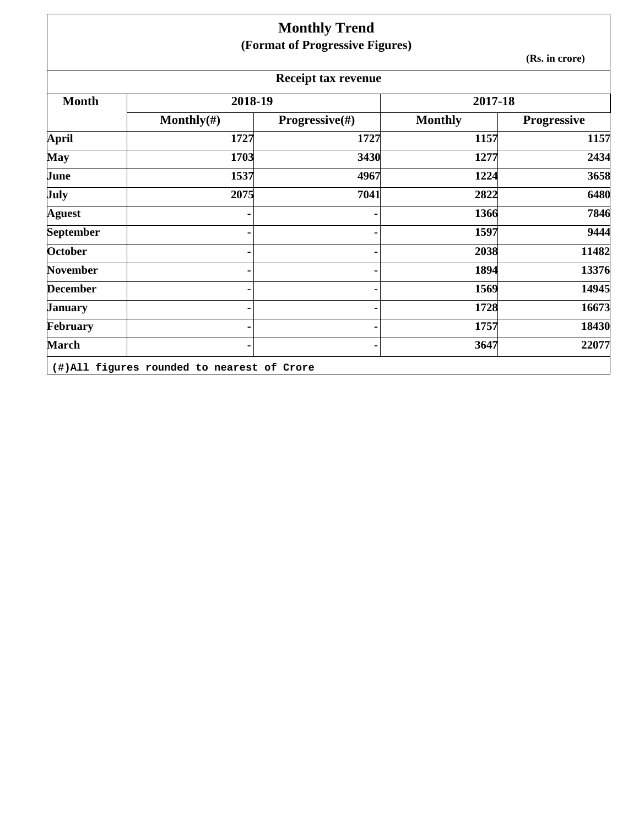|                  |                | <b>Monthly Trend</b>            |                |                |
|------------------|----------------|---------------------------------|----------------|----------------|
|                  |                | (Format of Progressive Figures) |                | (Rs. in crore) |
|                  |                | <b>Receipt tax revenue</b>      |                |                |
| <b>Month</b>     | 2018-19        |                                 | 2017-18        |                |
|                  | Monthly $(\#)$ | Progressive(#)                  | <b>Monthly</b> | Progressive    |
| <b>April</b>     | 1727           | 1727                            | 1157           | 1157           |
| <b>May</b>       | 1703           | 3430                            | 1277           | 2434           |
| June             | 1537           | 4967                            | 1224           | 3658           |
| July             | 2075           | 7041                            | 2822           | 6480           |
| <b>Aguest</b>    |                |                                 | 1366           | 7846           |
| <b>September</b> |                |                                 | 1597           | 9444           |
| October          |                |                                 | 2038           | 11482          |
| November         |                |                                 | 1894           | 13376          |
| <b>December</b>  |                |                                 | 1569           | 14945          |
| <b>January</b>   |                |                                 | 1728           | 16673          |
| February         |                |                                 | 1757           | 18430          |
| <b>March</b>     |                |                                 | 3647           | 22077          |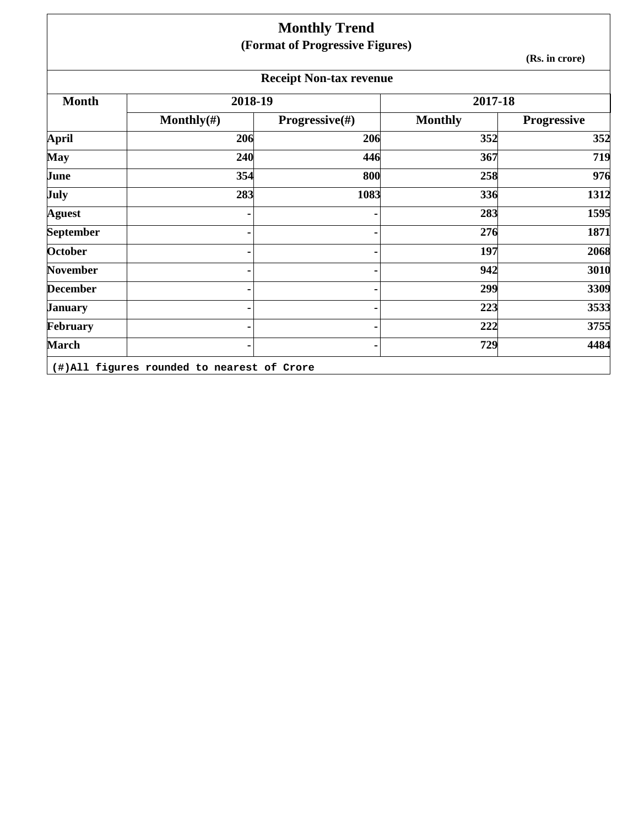|                  |                | <b>Monthly Trend</b>            |                |                    |
|------------------|----------------|---------------------------------|----------------|--------------------|
|                  |                | (Format of Progressive Figures) |                | (Rs. in crore)     |
|                  |                | <b>Receipt Non-tax revenue</b>  |                |                    |
| <b>Month</b>     | 2018-19        |                                 | 2017-18        |                    |
|                  | Monthly $(\#)$ | <b>Progressive</b> $(\#)$       | <b>Monthly</b> | <b>Progressive</b> |
| <b>April</b>     | 206            | 206                             | 352            | 352                |
| <b>May</b>       | 240            | 446                             | 367            | 719                |
| June             | 354            | 800                             | 258            | 976                |
| July             | 283            | 1083                            | 336            | 1312               |
| <b>Aguest</b>    |                |                                 | 283            | 1595               |
| <b>September</b> |                |                                 | 276            | 1871               |
| October          |                |                                 | 197            | 2068               |
| November         |                |                                 | 942            | 3010               |
| <b>December</b>  |                |                                 | 299            | 3309               |
| <b>January</b>   |                |                                 | 223            | 3533               |
| February         |                |                                 | 222            | 3755               |
| <b>March</b>     |                |                                 | 729            | 4484               |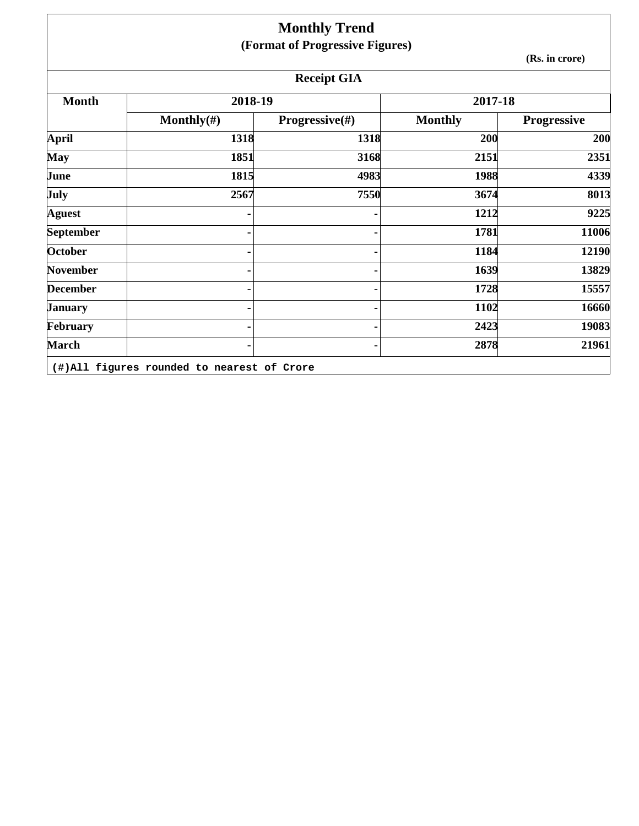|                 |                | <b>Monthly Trend</b>            |                |                    |
|-----------------|----------------|---------------------------------|----------------|--------------------|
|                 |                | (Format of Progressive Figures) |                |                    |
|                 |                |                                 |                | (Rs. in crore)     |
|                 |                | <b>Receipt GIA</b>              |                |                    |
| <b>Month</b>    | 2018-19        |                                 | 2017-18        |                    |
|                 | Monthly $(\#)$ | <b>Progressive</b> $(\#)$       | <b>Monthly</b> | <b>Progressive</b> |
| April           | 1318           | 1318                            | 200            | 200                |
| <b>May</b>      | 1851           | 3168                            | 2151           | 2351               |
| June            | 1815           | 4983                            | 1988           | 4339               |
| July            | 2567           | 7550                            | 3674           | 8013               |
| <b>Aguest</b>   |                |                                 | 1212           | 9225               |
| September       |                |                                 | 1781           | 11006              |
| October         |                |                                 | 1184           | 12190              |
| <b>November</b> |                |                                 | 1639           | 13829              |
| <b>December</b> |                |                                 | 1728           | 15557              |
| <b>January</b>  |                |                                 | 1102           | 16660              |
| February        |                |                                 | 2423           | 19083              |
| <b>March</b>    |                |                                 | 2878           | 21961              |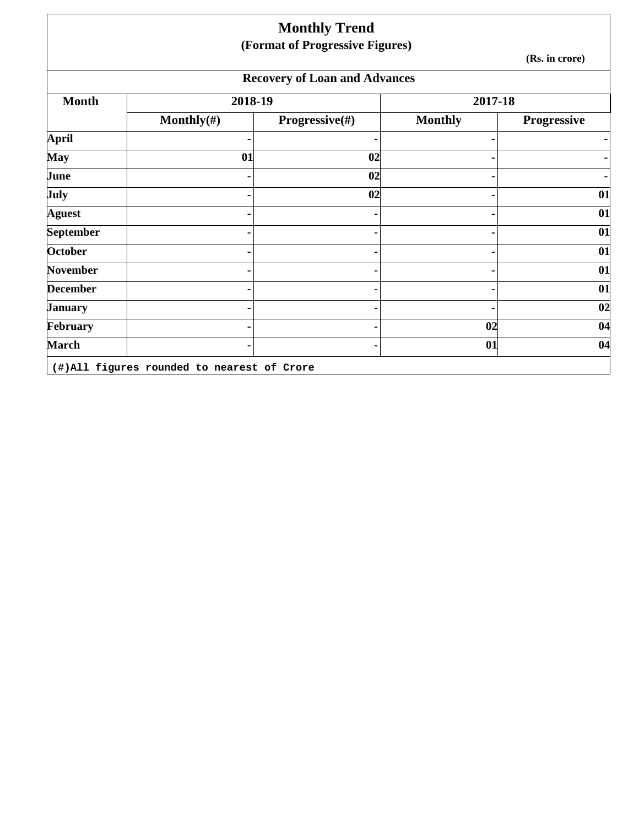|                 |                | <b>Monthly Trend</b><br>(Format of Progressive Figures) |                |                    |
|-----------------|----------------|---------------------------------------------------------|----------------|--------------------|
|                 |                |                                                         |                | (Rs. in crore)     |
|                 |                | <b>Recovery of Loan and Advances</b>                    |                |                    |
| <b>Month</b>    | 2018-19        |                                                         | 2017-18        |                    |
|                 | Monthly $(\#)$ | Progressive(#)                                          | <b>Monthly</b> | <b>Progressive</b> |
| April           |                |                                                         |                |                    |
| <b>May</b>      | 01             | 02                                                      |                |                    |
| June            |                | 02                                                      |                |                    |
| July            |                | 02                                                      |                | 01                 |
| <b>Aguest</b>   |                |                                                         |                | 01                 |
| September       |                |                                                         |                | 01                 |
| <b>October</b>  |                |                                                         |                | 01                 |
| November        |                |                                                         |                | 01                 |
| <b>December</b> |                |                                                         |                | 01                 |
| January         |                |                                                         |                | 02                 |
| February        |                |                                                         | 02             | 04                 |
| <b>March</b>    |                |                                                         | 01             | 04                 |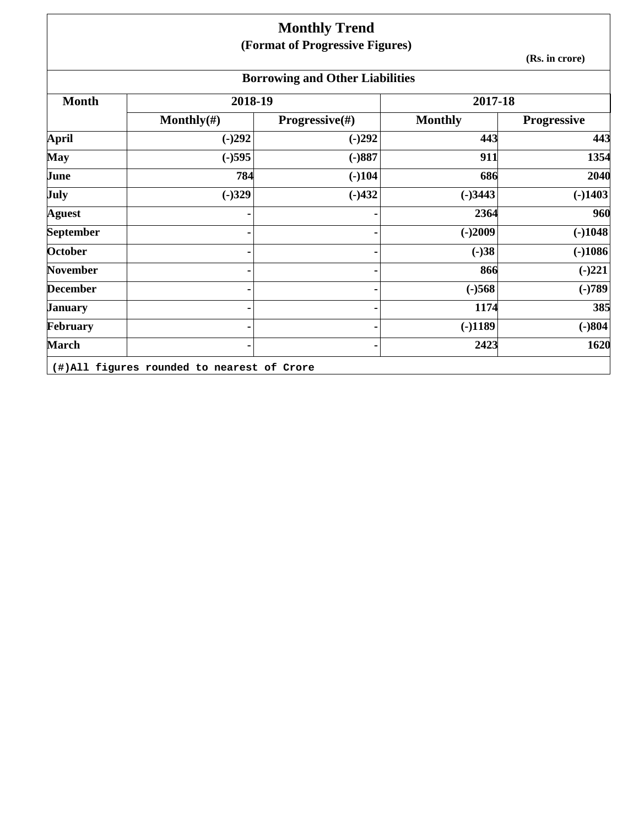## **Monthly Trend (Format of Progressive Figures)**

**(Rs. in crore)**

# **Borrowing and Other Liabilities**

| <b>Month</b>     | 2018-19        |                | 2017-18        |                    |
|------------------|----------------|----------------|----------------|--------------------|
|                  | Monthly $(\#)$ | Progressive(#) | <b>Monthly</b> | <b>Progressive</b> |
| April            | $(-)292$       | $(-)292$       | 443            | 443                |
| May              | $(-)595$       | $(-)887$       | 911            | 1354               |
| June             | 784            | $(-)104$       | 686            | 2040               |
| <b>July</b>      | $(-)329$       | $(-)432$       | $(-)3443$      | $(-)1403$          |
| <b>Aguest</b>    |                |                | 2364           | 960                |
| <b>September</b> |                | ٠              | $(-)2009$      | $(-)1048$          |
| <b>October</b>   |                |                | $(-)38$        | $(-)1086$          |
| <b>November</b>  |                | ٠              | 866            | $(-)221$           |
| <b>December</b>  |                |                | $(-)568$       | $(-)789$           |
| <b>January</b>   |                |                | 1174           | 385                |
| February         |                |                | $(-)1189$      | $(-)804$           |
| <b>March</b>     |                |                | 2423           | 1620               |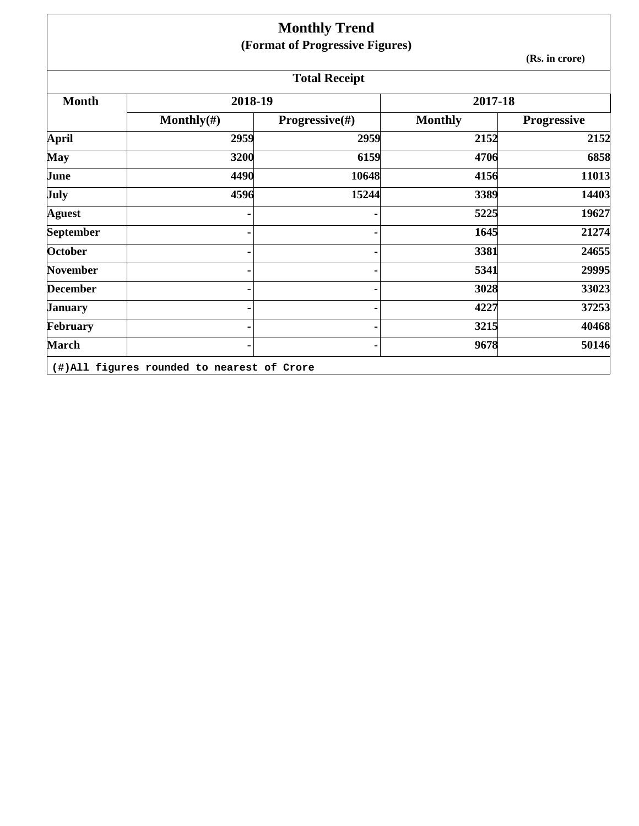|                  |                | <b>Monthly Trend</b>            |                |                |
|------------------|----------------|---------------------------------|----------------|----------------|
|                  |                | (Format of Progressive Figures) |                | (Rs. in crore) |
|                  |                | <b>Total Receipt</b>            |                |                |
| <b>Month</b>     | 2018-19        |                                 | 2017-18        |                |
|                  | Monthly $(\#)$ | <b>Progressive</b> $(\#)$       | <b>Monthly</b> | Progressive    |
| April            | 2959           | 2959                            | 2152           | 2152           |
| <b>May</b>       | 3200           | 6159                            | 4706           | 6858           |
| June             | 4490           | 10648                           | 4156           | 11013          |
| July             | 4596           | 15244                           | 3389           | 14403          |
| <b>Aguest</b>    |                |                                 | 5225           | 19627          |
| <b>September</b> |                |                                 | 1645           | 21274          |
| October          |                |                                 | 3381           | 24655          |
| <b>November</b>  |                |                                 | 5341           | 29995          |
| <b>December</b>  |                |                                 | 3028           | 33023          |
| <b>January</b>   |                |                                 | 4227           | 37253          |
| February         |                |                                 | 3215           | 40468          |
| <b>March</b>     |                |                                 | 9678           | 50146          |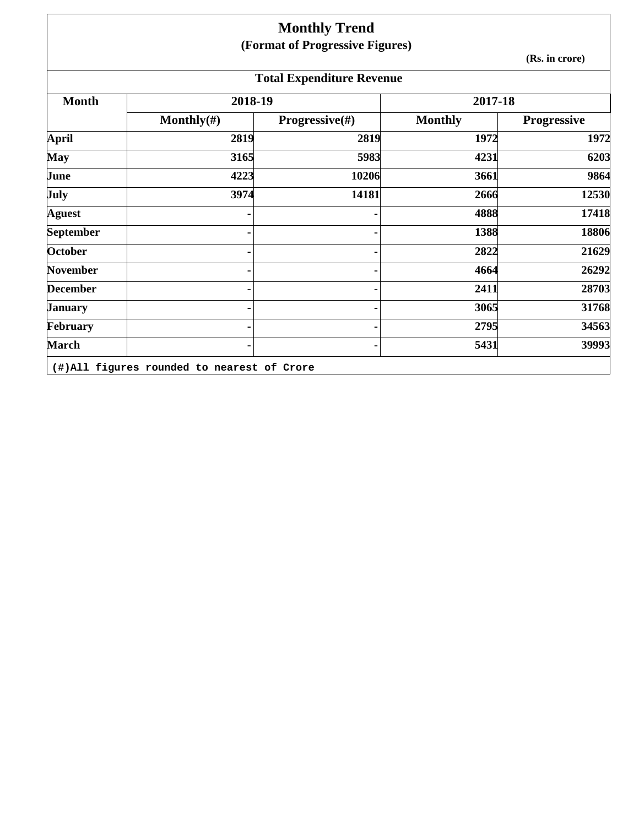## **Monthly Trend (Format of Progressive Figures)**

**(Rs. in crore)**

| <b>Total Expenditure Revenue</b> |                                            |                |                |             |  |  |
|----------------------------------|--------------------------------------------|----------------|----------------|-------------|--|--|
| <b>Month</b>                     | 2018-19                                    |                | 2017-18        |             |  |  |
|                                  | Monthly $(\#)$                             | Progressive(#) | <b>Monthly</b> | Progressive |  |  |
| April                            | 2819                                       | 2819           | 1972           | 1972        |  |  |
| <b>May</b>                       | 3165                                       | 5983           | 4231           | 6203        |  |  |
| June                             | 4223                                       | 10206          | 3661           | 9864        |  |  |
| July                             | 3974                                       | 14181          | 2666           | 12530       |  |  |
| <b>Aguest</b>                    |                                            |                | 4888           | 17418       |  |  |
| <b>September</b>                 |                                            |                | 1388           | 18806       |  |  |
| <b>October</b>                   |                                            |                | 2822           | 21629       |  |  |
| <b>November</b>                  |                                            |                | 4664           | 26292       |  |  |
| <b>December</b>                  |                                            |                | 2411           | 28703       |  |  |
| <b>January</b>                   |                                            |                | 3065           | 31768       |  |  |
| February                         |                                            |                | 2795           | 34563       |  |  |
| <b>March</b>                     |                                            |                | 5431           | 39993       |  |  |
|                                  | (#)All figures rounded to nearest of Crore |                |                |             |  |  |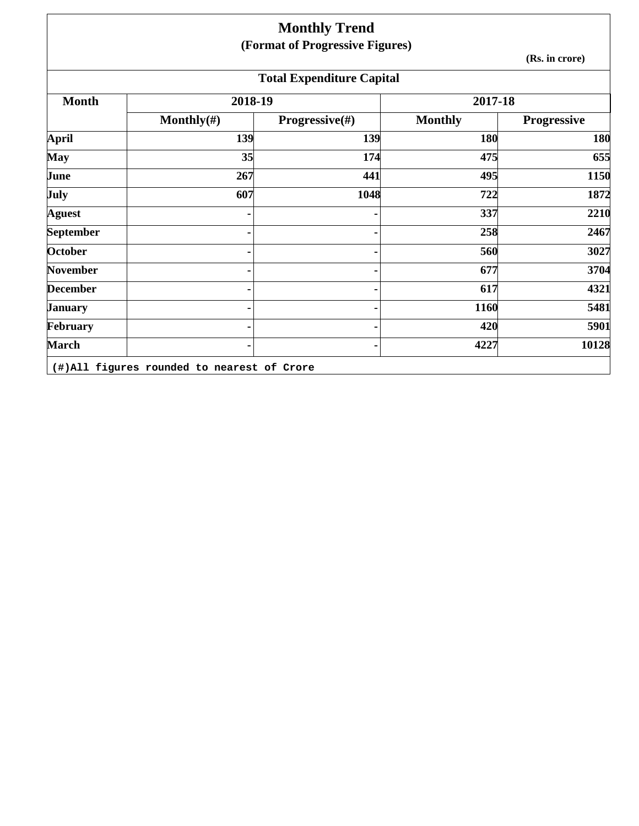|                  |                | <b>Monthly Trend</b>             |                |                    |
|------------------|----------------|----------------------------------|----------------|--------------------|
|                  |                | (Format of Progressive Figures)  |                | (Rs. in crore)     |
|                  |                | <b>Total Expenditure Capital</b> |                |                    |
| <b>Month</b>     | 2018-19        |                                  | 2017-18        |                    |
|                  | Monthly $(\#)$ | <b>Progressive</b> $(\#)$        | <b>Monthly</b> | <b>Progressive</b> |
| <b>April</b>     | 139            | 139                              | 180            | 180                |
| <b>May</b>       | 35             | 174                              | 475            | 655                |
| June             | 267            | 441                              | 495            | 1150               |
| July             | 607            | 1048                             | 722            | 1872               |
| <b>Aguest</b>    |                |                                  | 337            | 2210               |
| <b>September</b> |                |                                  | 258            | 2467               |
| <b>October</b>   |                |                                  | 560            | 3027               |
| <b>November</b>  |                |                                  | 677            | 3704               |
| <b>December</b>  |                |                                  | 617            | 4321               |
| <b>January</b>   |                |                                  | 1160           | 5481               |
| February         |                |                                  | 420            | 5901               |
| <b>March</b>     |                |                                  | 4227           | 10128              |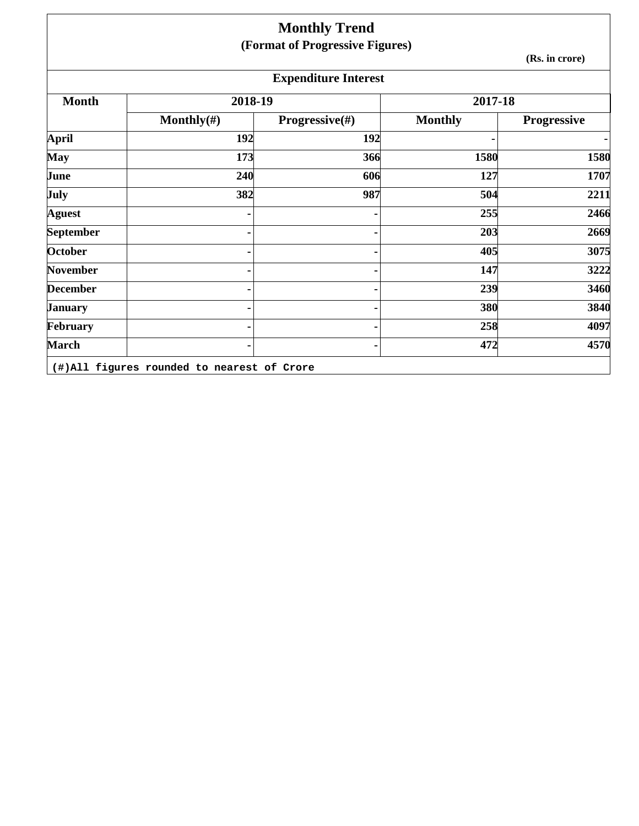|                 |                | <b>Monthly Trend</b>            |                |                    |
|-----------------|----------------|---------------------------------|----------------|--------------------|
|                 |                | (Format of Progressive Figures) |                |                    |
|                 |                |                                 |                | (Rs. in crore)     |
|                 |                | <b>Expenditure Interest</b>     |                |                    |
| <b>Month</b>    | 2018-19        |                                 | 2017-18        |                    |
|                 | Monthly $(\#)$ | <b>Progressive</b> $(\#)$       | <b>Monthly</b> | <b>Progressive</b> |
| <b>April</b>    | 192            | 192                             |                | ٠                  |
| <b>May</b>      | 173            | 366                             | 1580           | 1580               |
| June            | 240            | 606                             | 127            | 1707               |
| July            | 382            | 987                             | 504            | 2211               |
| <b>Aguest</b>   |                |                                 | 255            | 2466               |
| September       |                |                                 | 203            | 2669               |
| <b>October</b>  |                |                                 | 405            | 3075               |
| <b>November</b> |                |                                 | 147            | 3222               |
| <b>December</b> |                |                                 | 239            | 3460               |
| <b>January</b>  |                |                                 | 380            | 3840               |
| February        |                |                                 | 258            | 4097               |
| <b>March</b>    |                |                                 | 472            | 4570               |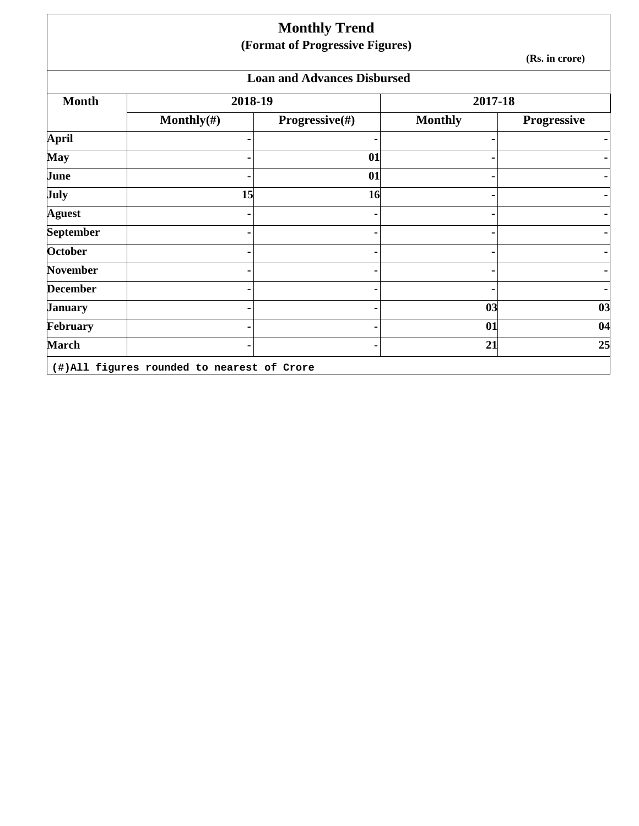|                  |                | <b>Monthly Trend</b><br>(Format of Progressive Figures) |                |                |
|------------------|----------------|---------------------------------------------------------|----------------|----------------|
|                  |                |                                                         |                | (Rs. in crore) |
|                  |                | <b>Loan and Advances Disbursed</b>                      |                |                |
| <b>Month</b>     | 2018-19        |                                                         | 2017-18        |                |
|                  | Monthly $(\#)$ | Progressive(#)                                          | <b>Monthly</b> | Progressive    |
| <b>April</b>     |                |                                                         |                |                |
| <b>May</b>       |                | 01                                                      |                |                |
| June             |                | 01                                                      |                |                |
| July             | 15             | 16                                                      |                |                |
| <b>Aguest</b>    |                |                                                         |                |                |
| <b>September</b> |                |                                                         |                |                |
| October          |                |                                                         |                |                |
| <b>November</b>  |                |                                                         |                |                |
| <b>December</b>  |                |                                                         |                |                |
| <b>January</b>   |                |                                                         | 03             | 03             |
| February         |                |                                                         | 01             | 04             |
| <b>March</b>     |                |                                                         | 21             | 25             |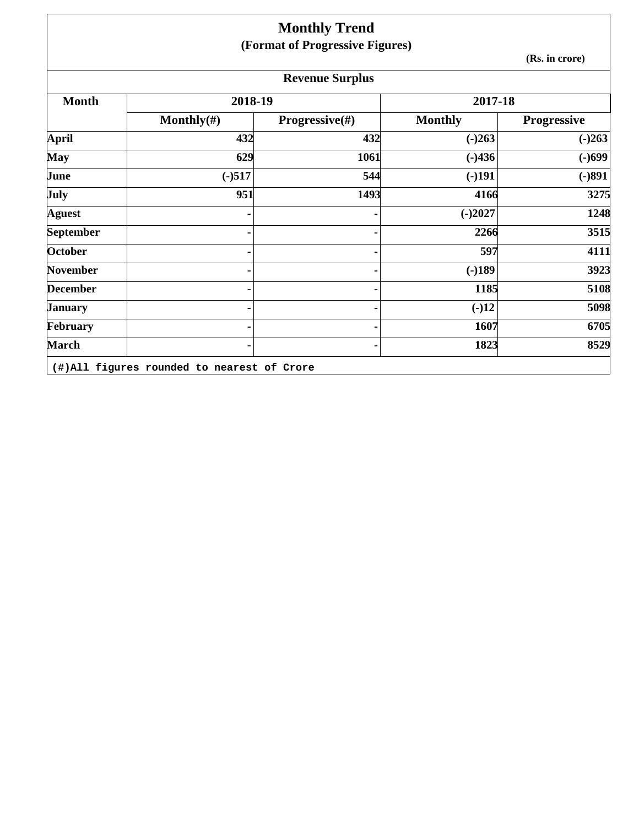|                  |                | <b>Monthly Trend</b>            |                |                    |
|------------------|----------------|---------------------------------|----------------|--------------------|
|                  |                | (Format of Progressive Figures) |                |                    |
|                  |                |                                 |                | (Rs. in crore)     |
|                  |                | <b>Revenue Surplus</b>          |                |                    |
| <b>Month</b>     | 2018-19        |                                 | 2017-18        |                    |
|                  | Monthly $(\#)$ | <b>Progressive</b> $(\#)$       | <b>Monthly</b> | <b>Progressive</b> |
| April            | 432            | 432                             | $(-)263$       | $(-)263$           |
| <b>May</b>       | 629            | 1061                            | $(-)436$       | $(-)699$           |
| June             | $(-)517$       | 544                             | $(-)191$       | $(-)891$           |
| July             | 951            | 1493                            | 4166           | 3275               |
| <b>Aguest</b>    |                |                                 | $(-)2027$      | 1248               |
| <b>September</b> |                |                                 | 2266           | 3515               |
| October          |                |                                 | 597            | 4111               |
| <b>November</b>  |                |                                 | $(-)189$       | 3923               |
| <b>December</b>  |                |                                 | 1185           | 5108               |
| <b>January</b>   |                |                                 | $(-)12$        | 5098               |
| February         |                |                                 | 1607           | 6705               |
| <b>March</b>     |                |                                 | 1823           | 8529               |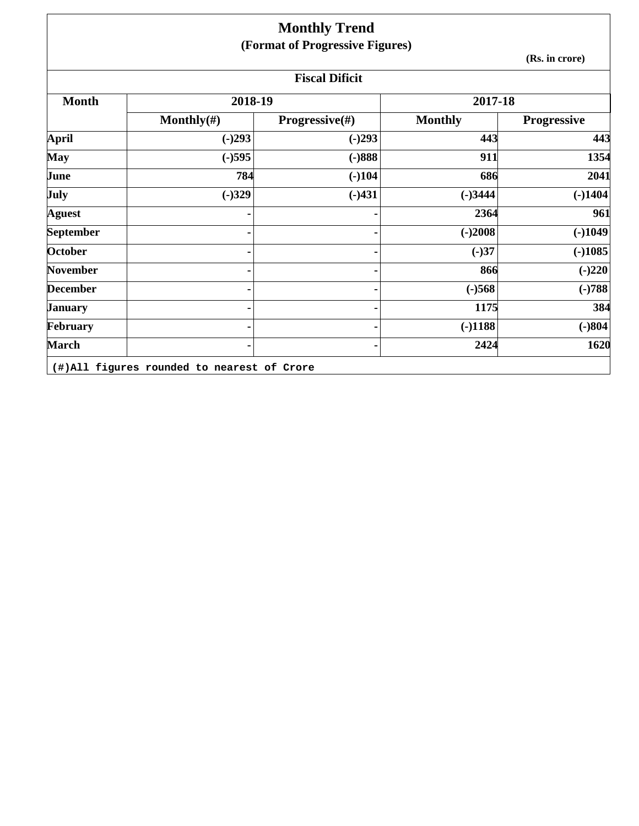|                  |                | <b>Monthly Trend</b><br>(Format of Progressive Figures) |                |                    |  |
|------------------|----------------|---------------------------------------------------------|----------------|--------------------|--|
|                  | (Rs. in crore) |                                                         |                |                    |  |
|                  |                | <b>Fiscal Dificit</b>                                   |                |                    |  |
| <b>Month</b>     | 2018-19        |                                                         | 2017-18        |                    |  |
|                  | Monthly $(\#)$ | <b>Progressive</b> $(\#)$                               | <b>Monthly</b> | <b>Progressive</b> |  |
| April            | $(-)293$       | $(-)293$                                                | 443            | 443                |  |
| <b>May</b>       | $(-)595$       | $(-)888$                                                | 911            | 1354               |  |
| June             | 784            | $(-)104$                                                | 686            | 2041               |  |
| July             | $(-)329$       | $(-)431$                                                | $(-)3444$      | $(-)1404$          |  |
| <b>Aguest</b>    |                |                                                         | 2364           | 961                |  |
| <b>September</b> |                |                                                         | $(-)2008$      | $(-)1049$          |  |
| October          |                |                                                         | $(-)37$        | $(-)1085$          |  |
| <b>November</b>  |                |                                                         | 866            | $(-)220$           |  |
| <b>December</b>  |                |                                                         | $(-)568$       | $(-)788$           |  |
| <b>January</b>   |                |                                                         | 1175           | 384                |  |
| February         |                |                                                         | $(-)1188$      | $(-)804$           |  |
| <b>March</b>     |                |                                                         | 2424           | 1620               |  |